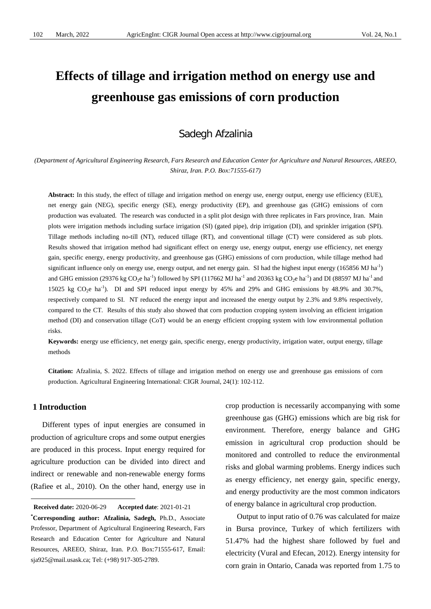# **Effects of tillage and irrigation method on energy use and greenhouse gas emissions of corn production**

# Sadegh Afzalinia

*(Department of Agricultural Engineering Research, Fars Research and Education Center for Agriculture and Natural Resources, AREEO, Shiraz, Iran. P.O. Box:71555-617)*

**Abstract:** In this study, the effect of tillage and irrigation method on energy use, energy output, energy use efficiency (EUE), net energy gain (NEG), specific energy (SE), energy productivity (EP), and greenhouse gas (GHG) emissions of corn production was evaluated. The research was conducted in a split plot design with three replicates in Fars province, Iran. Main plots were irrigation methods including surface irrigation (SI) (gated pipe), drip irrigation (DI), and sprinkler irrigation (SPI). Tillage methods including no-till (NT), reduced tillage (RT), and conventional tillage (CT) were considered as sub plots. Results showed that irrigation method had significant effect on energy use, energy output, energy use efficiency, net energy gain, specific energy, energy productivity, and greenhouse gas (GHG) emissions of corn production, while tillage method had significant influence only on energy use, energy output, and net energy gain. SI had the highest input energy (165856 MJ ha<sup>-1</sup>) and GHG emission (29376 kg CO<sub>2</sub>e ha<sup>-1</sup>) followed by SPI (117662 MJ ha<sup>-1</sup> and 20363 kg CO<sub>2</sub>e ha<sup>-1</sup>) and DI (88597 MJ ha<sup>-1</sup> and 15025 kg  $CO_2e$  ha<sup>-1</sup>). DI and SPI reduced input energy by 45% and 29% and GHG emissions by 48.9% and 30.7%, respectively compared to SI. NT reduced the energy input and increased the energy output by 2.3% and 9.8% respectively, compared to the CT. Results of this study also showed that corn production cropping system involving an efficient irrigation method (DI) and conservation tillage (CoT) would be an energy efficient cropping system with low environmental pollution risks.

**Keywords:** energy use efficiency, net energy gain, specific energy, energy productivity, irrigation water, output energy, tillage methods

**Citation:** Afzalinia, S. 2022. Effects of tillage and irrigation method on energy use and greenhouse gas emissions of corn production. Agricultural Engineering International: CIGR Journal, 24(1): 102-112.

# **1 Introduction**

<u>.</u>

Different types of input energies are consumed in production of agriculture crops and some output energies are produced in this process. Input energy required for agriculture production can be divided into direct and indirect or renewable and non-renewable energy forms (Rafiee et al., 2010). On the other hand, energy use in

crop production is necessarily accompanying with some greenhouse gas (GHG) emissions which are big risk for environment. Therefore, energy balance and GHG emission in agricultural crop production should be monitored and controlled to reduce the environmental risks and global warming problems. Energy indices such as energy efficiency, net energy gain, specific energy, and energy productivity are the most common indicators of energy balance in agricultural crop production.

Output to input ratio of 0.76 was calculated for maize in Bursa province, Turkey of which fertilizers with 51.47% had the highest share followed by fuel and electricity (Vural and Efecan, 2012). Energy intensity for corn grain in Ontario, Canada was reported from 1.75 to

<span id="page-0-0"></span>**Received date:** 2020-06-29 **Accepted date**: 2021-01-21

**<sup>\*</sup> Corresponding author: Afzalinia, Sadegh,** Ph.D., Associate Professor, Department of Agricultural Engineering Research, Fars Research and Education Center for Agriculture and Natural Resources, AREEO, Shiraz, Iran. P.O. Box:71555-617, Email: sja925@mail.usask.ca; Tel: (+98) 917-305-2789.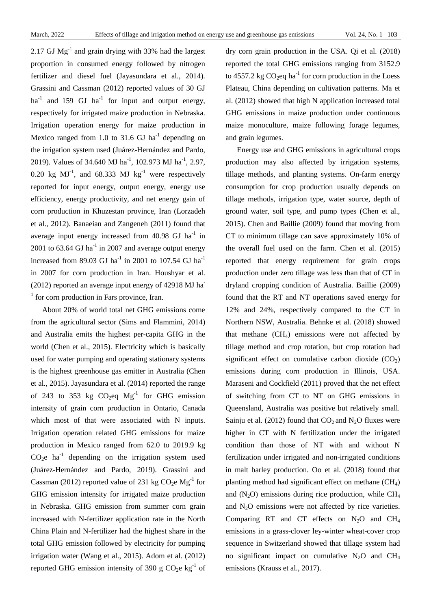2.17 GJ  $Mg^{-1}$  and grain drying with 33% had the largest proportion in consumed energy followed by nitrogen fertilizer and diesel fuel (Jayasundara et al., 2014). Grassini and Cassman (2012) reported values of 30 GJ  $ha^{-1}$  and 159 GJ  $ha^{-1}$  for input and output energy, respectively for irrigated maize production in Nebraska. Irrigation operation energy for maize production in Mexico ranged from 1.0 to 31.6 GJ  $ha^{-1}$  depending on the irrigation system used (Juárez-Hernández and Pardo, 2019). Values of 34.640 MJ ha<sup>-1</sup>, 102.973 MJ ha<sup>-1</sup>, 2.97, 0.20 kg  $MJ^{-1}$ , and 68.333 MJ kg<sup>-1</sup> were respectively reported for input energy, output energy, energy use efficiency, energy productivity, and net energy gain of corn production in Khuzestan province, Iran (Lorzadeh et al., 2012). Banaeian and Zangeneh (2011) found that average input energy increased from  $40.98$  GJ ha<sup>-1</sup> in 2001 to  $63.64$  GJ ha<sup>-1</sup> in 2007 and average output energy increased from 89.03 GJ ha<sup>-1</sup> in 2001 to 107.54 GJ ha<sup>-1</sup> in 2007 for corn production in Iran. Houshyar et al. (2012) reported an average input energy of 42918 MJ ha- $<sup>1</sup>$  for corn production in Fars province, Iran.</sup>

About 20% of world total net GHG emissions come from the agricultural sector (Sims and Flammini, 2014) and Australia emits the highest per-capita GHG in the world (Chen et al., 2015). Electricity which is basically used for water pumping and operating stationary systems is the highest greenhouse gas emitter in Australia (Chen et al., 2015). Jayasundara et al. (2014) reported the range of 243 to 353 kg  $CO<sub>2</sub>$ eq  $Mg<sup>-1</sup>$  for GHG emission intensity of grain corn production in Ontario, Canada which most of that were associated with N inputs. Irrigation operation related GHG emissions for maize production in Mexico ranged from 62.0 to 2019.9 kg  $CO<sub>2</sub>e$  ha<sup>-1</sup> depending on the irrigation system used (Juárez-Hernández and Pardo, 2019). Grassini and Cassman (2012) reported value of 231 kg  $CO<sub>2</sub>e Mg<sup>-1</sup>$  for GHG emission intensity for irrigated maize production in Nebraska. GHG emission from summer corn grain increased with N-fertilizer application rate in the North China Plain and N-fertilizer had the highest share in the total GHG emission followed by electricity for pumping irrigation water (Wang et al., 2015). Adom et al. (2012) reported GHG emission intensity of 390 g CO<sub>2</sub>e kg<sup>-1</sup> of dry corn grain production in the USA. Qi et al. (2018) reported the total GHG emissions ranging from 3152.9 to 4557.2 kg  $CO<sub>2</sub>$ eq ha<sup>-1</sup> for corn production in the Loess Plateau, China depending on cultivation patterns. Ma et al. (2012) showed that high N application increased total GHG emissions in maize production under continuous maize monoculture, maize following forage legumes, and grain legumes.

Energy use and GHG emissions in agricultural crops production may also affected by irrigation systems, tillage methods, and planting systems. On-farm energy consumption for crop production usually depends on tillage methods, irrigation type, water source, depth of ground water, soil type, and pump types (Chen et al., 2015). Chen and Baillie (2009) found that moving from CT to minimum tillage can save approximately 10% of the overall fuel used on the farm. Chen et al. (2015) reported that energy requirement for grain crops production under zero tillage was less than that of CT in dryland cropping condition of Australia. Baillie (2009) found that the RT and NT operations saved energy for 12% and 24%, respectively compared to the CT in Northern NSW, Australia. Behnke et al. (2018) showed that methane  $(CH<sub>4</sub>)$  emissions were not affected by tillage method and crop rotation, but crop rotation had significant effect on cumulative carbon dioxide  $(CO_2)$ emissions during corn production in Illinois, USA. Maraseni and Cockfield (2011) proved that the net effect of switching from CT to NT on GHG emissions in Queensland, Australia was positive but relatively small. Sainju et al. (2012) found that  $CO<sub>2</sub>$  and N<sub>2</sub>O fluxes were higher in CT with N fertilization under the irrigated condition than those of NT with and without N fertilization under irrigated and non-irrigated conditions in malt barley production. Oo et al. (2018) found that planting method had significant effect on methane  $(CH_4)$ and  $(N_2O)$  emissions during rice production, while  $CH_4$ and  $N<sub>2</sub>O$  emissions were not affected by rice varieties. Comparing RT and CT effects on  $N_2O$  and  $CH_4$ emissions in a grass-clover ley-winter wheat-cover crop sequence in Switzerland showed that tillage system had no significant impact on cumulative  $N_2O$  and  $CH_4$ emissions (Krauss et al., 2017).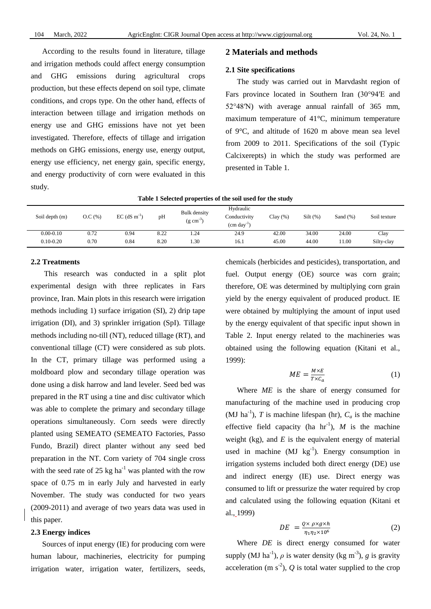According to the results found in literature, tillage and irrigation methods could affect energy consumption and GHG emissions during agricultural crops production, but these effects depend on soil type, climate conditions, and crops type. On the other hand, effects of interaction between tillage and irrigation methods on energy use and GHG emissions have not yet been investigated. Therefore, effects of tillage and irrigation methods on GHG emissions, energy use, energy output, energy use efficiency, net energy gain, specific energy, and energy productivity of corn were evaluated in this study.

## **2 Materials and methods**

#### **2.1 Site specifications**

The study was carried out in Marvdasht region of Fars province located in Southern Iran (30°94′E and 52°48′N) with average annual rainfall of 365 mm, maximum temperature of 41°C, minimum temperature of 9°C, and altitude of 1620 m above mean sea level from 2009 to 2011. Specifications of the soil (Typic Calcixerepts) in which the study was performed are presented in Table 1.

|  |  |  | Table 1 Selected properties of the soil used for the study |  |  |  |  |  |  |  |  |
|--|--|--|------------------------------------------------------------|--|--|--|--|--|--|--|--|
|--|--|--|------------------------------------------------------------|--|--|--|--|--|--|--|--|

| Soil depth (m) | O.C(%) | $EC$ (dS m <sup>-1</sup> ) | pH   | <b>Bulk</b> density<br>(g cm <sup>-</sup> | Hydraulic<br>Conductivity<br>$\text{cm} \text{ day}^{-1}$ | Clav(%) | Silt( %) | Sand $(\%)$ | Soil texture |
|----------------|--------|----------------------------|------|-------------------------------------------|-----------------------------------------------------------|---------|----------|-------------|--------------|
| $0.00 - 0.10$  | 0.72   | 0.94                       | 8.22 | .24                                       | 24.9                                                      | 42.00   | 34.00    | 24.00       | Clay         |
| $0.10 - 0.20$  | 0.70   | 0.84                       | 8.20 | .30                                       | 16.1                                                      | 45.00   | 44.00    | 11.00       | Silty-clay   |

#### **2.2 Treatments**

This research was conducted in a split plot experimental design with three replicates in Fars province, Iran. Main plots in this research were irrigation methods including 1) surface irrigation (SI), 2) drip tape irrigation (DI), and 3) sprinkler irrigation (SpI). Tillage methods including no-till (NT), reduced tillage (RT), and conventional tillage (CT) were considered as sub plots. In the CT, primary tillage was performed using a moldboard plow and secondary tillage operation was done using a disk harrow and land leveler. Seed bed was prepared in the RT using a tine and disc cultivator which was able to complete the primary and secondary tillage operations simultaneously. Corn seeds were directly planted using SEMEATO (SEMEATO Factories, Passo Fundo, Brazil) direct planter without any seed bed preparation in the NT. Corn variety of 704 single cross with the seed rate of 25 kg ha<sup>-1</sup> was planted with the row space of 0.75 m in early July and harvested in early November. The study was conducted for two years (2009-2011) and average of two years data was used in this paper.

#### **2.3 Energy indices**

Sources of input energy (IE) for producing corn were human labour, machineries, electricity for pumping irrigation water, irrigation water, fertilizers, seeds, chemicals (herbicides and pesticides), transportation, and fuel. Output energy (OE) source was corn grain; therefore, OE was determined by multiplying corn grain yield by the energy equivalent of produced product. IE were obtained by multiplying the amount of input used by the energy equivalent of that specific input shown in Table 2. Input energy related to the machineries was obtained using the following equation (Kitani et al., 1999):

$$
ME = \frac{M \times E}{T \times C_a} \tag{1}
$$

Where *ME* is the share of energy consumed for manufacturing of the machine used in producing crop (MJ ha<sup>-1</sup>), *T* is machine lifespan (hr),  $C_a$  is the machine effective field capacity (ha  $hr^{-1}$ ), *M* is the machine weight (kg), and  $E$  is the equivalent energy of material used in machine  $(MJ kg<sup>-1</sup>)$ . Energy consumption in irrigation systems included both direct energy (DE) use and indirect energy (IE) use. Direct energy was consumed to lift or pressurize the water required by crop and calculated using the following equation (Kitani et al., 1999)

$$
DE = \frac{Q \times \rho \times g \times h}{\eta_1 \eta_2 \times 10^6} \tag{2}
$$

Where *DE* is direct energy consumed for water supply (MJ ha<sup>-1</sup>),  $\rho$  is water density (kg m<sup>-3</sup>), g is gravity acceleration (m  $s^{-2}$ ),  $Q$  is total water supplied to the crop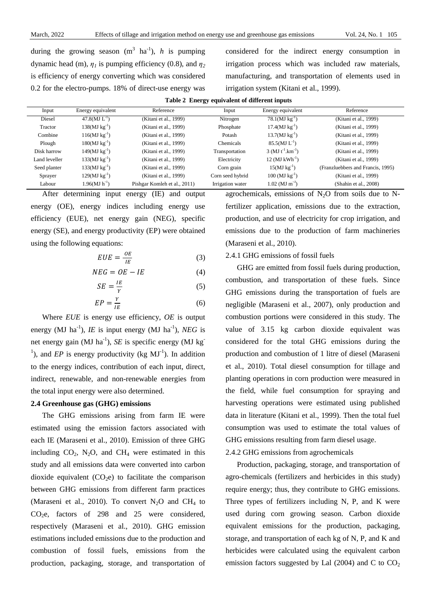during the growing season  $(m^3 \text{ ha}^{-1})$ , *h* is pumping dynamic head (m),  $\eta_1$  is pumping efficiency (0.8), and  $\eta_2$ is efficiency of energy converting which was considered 0.2 for the electro-pumps. 18% of direct-use energy was

considered for the indirect energy consumption in irrigation process which was included raw materials, manufacturing, and transportation of elements used in irrigation system (Kitani et al., 1999).

|  |  | Table 2 Energy equivalent of different inputs |  |  |  |
|--|--|-----------------------------------------------|--|--|--|
|--|--|-----------------------------------------------|--|--|--|

| Input         | Energy equivalent | Reference                    | Input            | Energy equivalent                 | Reference                         |
|---------------|-------------------|------------------------------|------------------|-----------------------------------|-----------------------------------|
| Diesel        | $47.8(MJ L^{-1})$ | (Kitani et al., 1999)        | Nitrogen         | $78.1(MJ kg^{-1})$                | (Kitani et al., 1999)             |
| Tractor       | $138(MJ kg^{-1})$ | (Kitani et al., 1999)        | Phosphate        | $17.4(MJ kg^{-1})$                | (Kitani et al., 1999)             |
| Combine       | $116(MJ kg^{-1})$ | (Kitani et al., 1999)        | Potash           | $13.7(MJ kg^{-1})$                | (Kitani et al., 1999)             |
| Plough        | $180(MJ kg^{-1})$ | (Kitani et al., 1999)        | Chemicals        | $85.5(MJ L^{-1})$                 | (Kitani et al., 1999)             |
| Disk harrow   | $149(MJ kg^{-1})$ | (Kitani et al., 1999)        | Transportation   | 3 (MJ $t^{-1}$ km <sup>-1</sup> ) | (Kitani et al., 1999)             |
| Land leveller | $133(MJ kg^{-1})$ | (Kitani et al., 1999)        | Electricity      | 12 ( $MJ$ kWh <sup>-1</sup> )     | (Kitani et al., 1999)             |
| Seed planter  | $133(MJ kg^{-1})$ | (Kitani et al., 1999)        | Corn grain       | $15(MJ kg^{-1})$                  | (Franzluebbers and Francis, 1995) |
| Sprayer       | $129(MJ kg^{-1})$ | (Kitani et al., 1999)        | Corn seed hybrid | $100$ (MJ $kg^{-1}$ )             | (Kitani et al., 1999)             |
| Labour        | $1.96(MJ h^{-1})$ | Pishgar Komleh et al., 2011) | Irrigation water | $1.02$ (MJ m <sup>-3</sup> )      | (Shahin et al., $2008$ )          |

After determining input energy (IE) and output energy (OE), energy indices including energy use efficiency (EUE), net energy gain (NEG), specific energy (SE), and energy productivity (EP) were obtained using the following equations:

$$
EUE = \frac{OE}{IE} \tag{3}
$$

$$
NEG = OE - IE \tag{4}
$$

$$
SE = \frac{IE}{Y}
$$
 (5)

$$
EP = \frac{Y}{IE} \tag{6}
$$

Where *EUE* is energy use efficiency, *OE* is output energy (MJ  $ha^{-1}$ ), *IE* is input energy (MJ  $ha^{-1}$ ), *NEG* is net energy gain (MJ ha<sup>-1</sup>), *SE* is specific energy (MJ kg<sup>-1</sup>) <sup>1</sup>), and *EP* is energy productivity (kg  $MJ^{-1}$ ). In addition to the energy indices, contribution of each input, direct, indirect, renewable, and non-renewable energies from the total input energy were also determined.

#### **2.4 Greenhouse gas (GHG) emissions**

The GHG emissions arising from farm IE were estimated using the emission factors associated with each IE (Maraseni et al., 2010). Emission of three GHG including  $CO_2$ , N<sub>2</sub>O, and CH<sub>4</sub> were estimated in this study and all emissions data were converted into carbon dioxide equivalent  $(CO<sub>2</sub>e)$  to facilitate the comparison between GHG emissions from different farm practices (Maraseni et al., 2010). To convert  $N_2O$  and CH<sub>4</sub> to  $CO<sub>2</sub>e$ , factors of 298 and 25 were considered, respectively (Maraseni et al., 2010). GHG emission estimations included emissions due to the production and combustion of fossil fuels, emissions from the production, packaging, storage, and transportation of agrochemicals, emissions of  $N_2O$  from soils due to Nfertilizer application, emissions due to the extraction, production, and use of electricity for crop irrigation, and emissions due to the production of farm machineries (Maraseni et al., 2010).

#### 2.4.1 GHG emissions of fossil fuels

GHG are emitted from fossil fuels during production, combustion, and transportation of these fuels. Since GHG emissions during the transportation of fuels are negligible (Maraseni et al., 2007), only production and combustion portions were considered in this study. The value of 3.15 kg carbon dioxide equivalent was considered for the total GHG emissions during the production and combustion of 1 litre of diesel (Maraseni et al., 2010). Total diesel consumption for tillage and planting operations in corn production were measured in the field, while fuel consumption for spraying and harvesting operations were estimated using published data in literature (Kitani et al., 1999). Then the total fuel consumption was used to estimate the total values of GHG emissions resulting from farm diesel usage.

#### 2.4.2 GHG emissions from agrochemicals

Production, packaging, storage, and transportation of agro-chemicals (fertilizers and herbicides in this study) require energy; thus, they contribute to GHG emissions. Three types of fertilizers including N, P, and K were used during corn growing season. Carbon dioxide equivalent emissions for the production, packaging, storage, and transportation of each kg of N, P, and K and herbicides were calculated using the equivalent carbon emission factors suggested by Lal  $(2004)$  and C to  $CO<sub>2</sub>$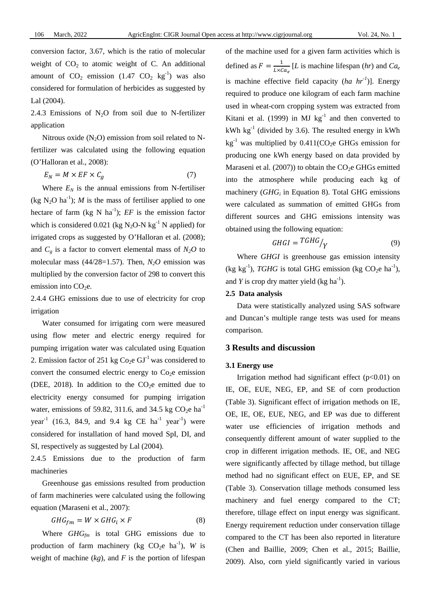conversion factor, 3.67, which is the ratio of molecular weight of  $CO<sub>2</sub>$  to atomic weight of C. An additional amount of  $CO_2$  emission (1.47  $CO_2$  kg<sup>-1</sup>) was also considered for formulation of herbicides as suggested by Lal (2004).

2.4.3 Emissions of  $N_2O$  from soil due to N-fertilizer application

Nitrous oxide  $(N_2O)$  emission from soil related to Nfertilizer was calculated using the following equation (O'Halloran et al., 2008):

$$
E_N = M \times EF \times C_g \tag{7}
$$

Where  $E_N$  is the annual emissions from N-fertiliser (kg  $N_2O$  ha<sup>-1</sup>); *M* is the mass of fertiliser applied to one hectare of farm (kg N  $ha^{-1}$ );  $EF$  is the emission factor which is considered 0.021 (kg N<sub>2</sub>O-N kg<sup>-1</sup> N applied) for irrigated crops as suggested by O'Halloran et al. (2008); and  $C_g$  is a factor to convert elemental mass of  $N_2O$  to molecular mass  $(44/28=1.57)$ . Then,  $N<sub>2</sub>O$  emission was multiplied by the conversion factor of 298 to convert this emission into  $CO<sub>2</sub>e$ .

2.4.4 GHG emissions due to use of electricity for crop irrigation

Water consumed for irrigating corn were measured using flow meter and electric energy required for pumping irrigation water was calculated using Equation 2. Emission factor of 251 kg  $Co<sub>2</sub>e$  GJ<sup>-1</sup> was considered to convert the consumed electric energy to  $Co<sub>2</sub>e$  emission (DEE, 2018). In addition to the  $CO<sub>2</sub>e$  emitted due to electricity energy consumed for pumping irrigation water, emissions of 59.82, 311.6, and 34.5 kg  $CO<sub>2</sub>e$  ha<sup>-1</sup>  $year^{-1}$  (16.3, 84.9, and 9.4 kg CE ha<sup>-1</sup> year<sup>-1</sup>) were considered for installation of hand moved SpI, DI, and SI, respectively as suggested by Lal (2004).

2.4.5 Emissions due to the production of farm machineries

Greenhouse gas emissions resulted from production of farm machineries were calculated using the following equation (Maraseni et al., 2007):

$$
GHG_{fm} = W \times GHG_i \times F \tag{8}
$$

Where *GHG<sub>fm</sub>* is total GHG emissions due to production of farm machinery (kg  $CO_2e$  ha<sup>-1</sup>), *W* is weight of machine  $(kg)$ , and  $F$  is the portion of lifespan

of the machine used for a given farm activities which is defined as  $F = \frac{1}{L \times Ca_e} [L]$  is machine lifespan (*hr*) and  $Ca_e$ is machine effective field capacity  $(ha hr<sup>-1</sup>)$ ]. Energy required to produce one kilogram of each farm machine used in wheat-corn cropping system was extracted from Kitani et al. (1999) in MJ  $\text{kg}^{-1}$  and then converted to kWh  $kg^{-1}$  (divided by 3.6). The resulted energy in kWh  $kg^{-1}$  was multiplied by 0.411(CO<sub>2</sub>e GHGs emission for producing one kWh energy based on data provided by Maraseni et al.  $(2007)$  to obtain the CO<sub>2</sub>e GHGs emitted into the atmosphere while producing each kg of machinery (*GHG<sub>i</sub>* in Equation 8). Total GHG emissions were calculated as summation of emitted GHGs from different sources and GHG emissions intensity was obtained using the following equation:

$$
GHGI = TGHG / Y \tag{9}
$$

Where *GHGI* is greenhouse gas emission intensity (kg kg<sup>-1</sup>), *TGHG* is total GHG emission (kg  $CO_2e$  ha<sup>-1</sup>), and *Y* is crop dry matter yield (kg ha<sup>-1</sup>).

#### **2.5 Data analysis**

Data were statistically analyzed using SAS software and Duncan's multiple range tests was used for means comparison.

### **3 Results and discussion**

#### **3.1 Energy use**

Irrigation method had significant effect  $(p<0.01)$  on IE, OE, EUE, NEG, EP, and SE of corn production (Table 3). Significant effect of irrigation methods on IE, OE, IE, OE, EUE, NEG, and EP was due to different water use efficiencies of irrigation methods and consequently different amount of water supplied to the crop in different irrigation methods. IE, OE, and NEG were significantly affected by tillage method, but tillage method had no significant effect on EUE, EP, and SE (Table 3). Conservation tillage methods consumed less machinery and fuel energy compared to the CT; therefore, tillage effect on input energy was significant. Energy requirement reduction under conservation tillage compared to the CT has been also reported in literature (Chen and Baillie, 2009; Chen et al., 2015; Baillie, 2009). Also, corn yield significantly varied in various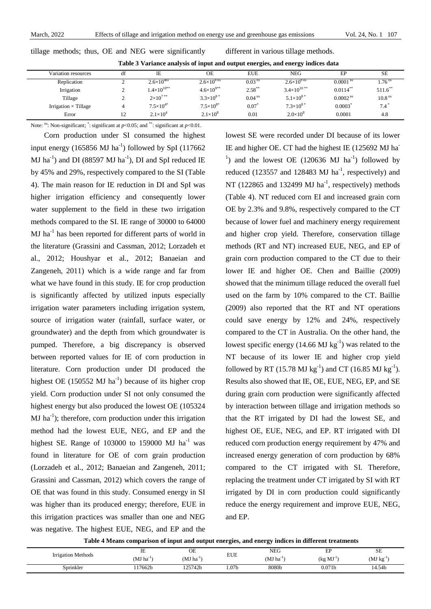|                             | Table 5 variance analysis of input and burput energies, and energy indices data |                                    |                      |                    |                          |                        |                    |  |  |  |  |  |
|-----------------------------|---------------------------------------------------------------------------------|------------------------------------|----------------------|--------------------|--------------------------|------------------------|--------------------|--|--|--|--|--|
| Variation resources         | df                                                                              | IΕ                                 | OΕ                   | <b>EUE</b>         | NEG                      | EP                     | SE.                |  |  |  |  |  |
| Replication                 |                                                                                 | $2.6 \times 10^{4}$ <sup>ans</sup> | $2.6\times10^{8}$ ns | 0.03 <sup>ns</sup> | $2.6 \times 10^{8}$ ns   | $0.0001$ <sup>ns</sup> | .76 <sup>ns</sup>  |  |  |  |  |  |
| Irrigation                  |                                                                                 | $1.4\times10^{10**}$               | $4.6\times10^{9**}$  | $2.58***$          | $3.4\times10^{10^{***}}$ | $0.0114***$            | $511.6$ **         |  |  |  |  |  |
| Tillage                     |                                                                                 | $2 \times 10^{7}$ **               | $3.3\times10^{8}$    | 0.04 <sup>ns</sup> | $5.1 \times 10^{8}$      | $0.0002$ <sup>ns</sup> | 10.8 <sup>ns</sup> |  |  |  |  |  |
| Irrigation $\times$ Tillage |                                                                                 | $7.5 \times 10^{4*}$               | $7.5 \times 10^{8*}$ | 0.07               | $7.3\times10^{8*}$       | 0.0003                 | $7.4*$             |  |  |  |  |  |
| Error                       | 12                                                                              | $2.1 \times 10^{4}$                | $2.1 \times 10^{8}$  | 0.01               | $2.0 \times 10^8$        | 0.0001                 | 4.8                |  |  |  |  |  |

tillage methods; thus, OE and NEG were significantly different in various tillage methods.

**Table 3 Variance analysis of input and output energies, and energy indices data**

Note: <sup>ns</sup>: Non-significant;  $\ddot{\cdot}$ : significant at *p*<0.05; and  $\ddot{\cdot}$  is significant at *p*<0.01.

Corn production under SI consumed the highest input energy (165856 MJ ha<sup>-1</sup>) followed by SpI (117662 MJ ha<sup>-1</sup>) and DI (88597 MJ ha<sup>-1</sup>), DI and SpI reduced IE by 45% and 29%, respectively compared to the SI (Table 4). The main reason for IE reduction in DI and SpI was higher irrigation efficiency and consequently lower water supplement to the field in these two irrigation methods compared to the SI. IE range of 30000 to 64000  $MJ$  has been reported for different parts of world in the literature (Grassini and Cassman, 2012; Lorzadeh et al., 2012; Houshyar et al., 2012; Banaeian and Zangeneh, 2011) which is a wide range and far from what we have found in this study. IE for crop production is significantly affected by utilized inputs especially irrigation water parameters including irrigation system, source of irrigation water (rainfall, surface water, or groundwater) and the depth from which groundwater is pumped. Therefore, a big discrepancy is observed between reported values for IE of corn production in literature. Corn production under DI produced the highest OE  $(150552 \text{ MJ ha}^{-1})$  because of its higher crop yield. Corn production under SI not only consumed the highest energy but also produced the lowest OE (105324  $MJ$  ha<sup>-1</sup>); therefore, corn production under this irrigation method had the lowest EUE, NEG, and EP and the highest SE. Range of  $103000$  to  $159000$  MJ ha<sup>-1</sup> was found in literature for OE of corn grain production (Lorzadeh et al., 2012; Banaeian and Zangeneh, 2011; Grassini and Cassman, 2012) which covers the range of OE that was found in this study. Consumed energy in SI was higher than its produced energy; therefore, EUE in this irrigation practices was smaller than one and NEG was negative. The highest EUE, NEG, and EP and the

lowest SE were recorded under DI because of its lower IE and higher OE. CT had the highest IE (125692 MJ ha<sup>-</sup> <sup>1</sup>) and the lowest OE (120636 MJ ha<sup>-1</sup>) followed by reduced (123557 and 128483  $MJ$  ha<sup>-1</sup>, respectively) and NT (122865 and 132499 MJ  $ha^{-1}$ , respectively) methods (Table 4). NT reduced corn EI and increased grain corn OE by 2.3% and 9.8%, respectively compared to the CT because of lower fuel and machinery energy requirement and higher crop yield. Therefore, conservation tillage methods (RT and NT) increased EUE, NEG, and EP of grain corn production compared to the CT due to their lower IE and higher OE. Chen and Baillie (2009) showed that the minimum tillage reduced the overall fuel used on the farm by 10% compared to the CT. Baillie (2009) also reported that the RT and NT operations could save energy by 12% and 24%, respectively compared to the CT in Australia. On the other hand, the lowest specific energy  $(14.66 \text{ MJ kg}^{-1})$  was related to the NT because of its lower IE and higher crop yield followed by RT (15.78 MJ  $kg^{-1}$ ) and CT (16.85 MJ  $kg^{-1}$ ). Results also showed that IE, OE, EUE, NEG, EP, and SE during grain corn production were significantly affected by interaction between tillage and irrigation methods so that the RT irrigated by DI had the lowest SE, and highest OE, EUE, NEG, and EP. RT irrigated with DI reduced corn production energy requirement by 47% and increased energy generation of corn production by 68% compared to the CT irrigated with SI. Therefore, replacing the treatment under CT irrigated by SI with RT irrigated by DI in corn production could significantly reduce the energy requirement and improve EUE, NEG, and EP.

|                                          | IE                      | $\cap$<br>UE   |            | <b>NEG</b>              | $\blacksquare$<br>⊷ | oτ<br>DЕ |
|------------------------------------------|-------------------------|----------------|------------|-------------------------|---------------------|----------|
| <b>Irrigation Methods</b>                | $(MJ)$ ha <sup>-1</sup> | $(MJ ha^{-1})$ | <b>EUE</b> | $(MJ)$ ha <sup>-1</sup> | $(kg MJ-1)$         | (MJ kg   |
| $\sim$ $\sim$ $\sim$ $\sim$<br>Sprinkler | 17662 <sub>b</sub>      | '25742b        | 1.07b      | 8080b                   | 0.071 <sub>b</sub>  | 14.54b   |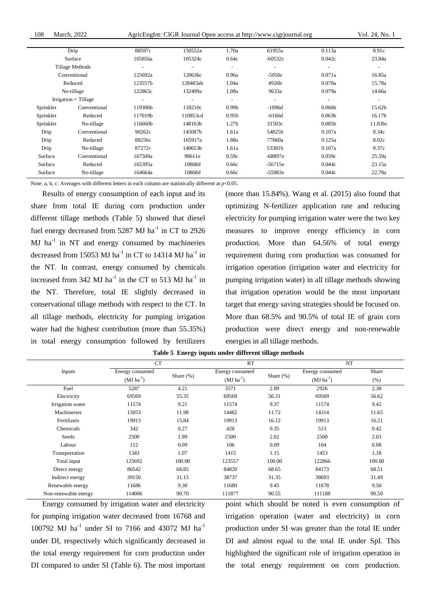108 March, 2022 AgricEngInt: CIGR Journal Open access at http://www.cigrjournal.org Vol. 24, No. 1

|                 | Drip                        | 88597c                   | 150552a                  | 1.70a                    | 61955a                   | 0.113a                   | 8.91c                    |
|-----------------|-----------------------------|--------------------------|--------------------------|--------------------------|--------------------------|--------------------------|--------------------------|
|                 | Surface                     | 165856a                  | 105324c                  | 0.64c                    | $-60532c$                | 0.042c                   | 23.84a                   |
| Tillage Methods |                             | $\overline{\phantom{a}}$ | $\overline{\phantom{a}}$ | $\overline{\phantom{a}}$ | $\overline{\phantom{a}}$ | $\overline{\phantom{a}}$ | $\overline{\phantom{a}}$ |
| Conventional    |                             | 125692a                  | 120636c                  | 0.96a                    | $-5056c$                 | 0.071a                   | 16.85a                   |
|                 | Reduced                     | 123557b                  | 128483ab                 | 1.04a                    | 4926b                    | 0.078a                   | 15.78a                   |
| No-tillage      |                             | 122865c                  | 132499a                  | 1.08a                    | 9633a                    | 0.079a                   | 14.66a                   |
|                 | Irrigation $\times$ Tillage | $\overline{\phantom{a}}$ | $\overline{\phantom{a}}$ | $\overline{\phantom{a}}$ | $\overline{\phantom{a}}$ | $\overline{\phantom{a}}$ | $\overline{\phantom{a}}$ |
| Sprinkler       | Conventional                | 119306b                  | 118210c                  | 0.99 <sub>b</sub>        | $-1096d$                 | 0.066 <sub>b</sub>       | 15.62b                   |
| Sprinkler       | Reduced                     | 117019b                  | 110853cd                 | 0.95 <sub>b</sub>        | $-6166d$                 | 0.063 <sub>b</sub>       | 16.17b                   |
| Sprinkler       | No-tillage                  | 116660b                  | 148163b                  | 1.27 <sub>b</sub>        | 31503c                   | 0.085 <sub>b</sub>       | 11.83bc                  |
| Drip            | Conventional                | 90262c                   | 145087b                  | 1.61a                    | 54825b                   | 0.107a                   | 9.34c                    |
| Drip            | Reduced                     | 88256c                   | 165917a                  | 1.88a                    | 77660a                   | 0.125a                   | 8.02c                    |
| Drip            | No-tillage                  | 87272c                   | 140653b                  | 1.61a                    | 53381b                   | 0.107a                   | 9.37c                    |
| Surface         | Conventional                | 167508a                  | 98611e                   | 0.59c                    | $-68897e$                | 0.039c                   | 25.59a                   |
| Surface         | Reduced                     | 165395a                  | 10868d                   | 0.66c                    | $-56715e$                | 0.044c                   | 23.15a                   |
| Surface         | No-tillage                  | 164664a                  | 10868d                   | 0.66c                    | -55983e                  | 0.044c                   | 22.78a                   |
|                 |                             |                          |                          |                          |                          |                          |                          |

Note: a, b, c: Averages with different letters in each column are statistically different at *p*<0.05.

Results of energy consumption of each input and its share from total IE during corn production under different tillage methods (Table 5) showed that diesel fuel energy decreased from 5287 MJ ha<sup>-1</sup> in CT to 2926  $MJ$  ha<sup>-1</sup> in NT and energy consumed by machineries decreased from 15053 MJ ha<sup>-1</sup> in CT to 14314 MJ ha<sup>-1</sup> in the NT. In contrast, energy consumed by chemicals increased from 342 MJ ha<sup>-1</sup> in the CT to 513 MJ ha<sup>-1</sup> in the NT. Therefore, total IE slightly decreased in conservational tillage methods with respect to the CT. In all tillage methods, electricity for pumping irrigation water had the highest contribution (more than 55.35%) in total energy consumption followed by fertilizers (more than 15.84%). Wang et al. (2015) also found that optimizing N-fertilizer application rate and reducing electricity for pumping irrigation water were the two key measures to improve energy efficiency in corn production. More than 64.56% of total energy requirement during corn production was consumed for irrigation operation (irrigation water and electricity for pumping irrigation water) in all tillage methods showing that irrigation operation would be the most important target that energy saving strategies should be focused on. More than 68.5% and 90.5% of total IE of grain corn production were direct energy and non-renewable energies in all tillage methods.

|                      | <b>CT</b>       |              | <b>RT</b>       |              | NT              |        |  |
|----------------------|-----------------|--------------|-----------------|--------------|-----------------|--------|--|
| Inputs               | Energy consumed | Share $(\%)$ | Energy consumed | Share $(\%)$ | Energy consumed | Share  |  |
|                      | $(MJ ha^{-1})$  |              | $(MJ ha^{-1})$  |              | $(MJ ha^{-1})$  | (% )   |  |
| Fuel                 | 5287            | 4.21         | 3571            | 2.89         | 2926            | 2.38   |  |
| Electricity          | 69569           | 55.35        | 69569           | 56.31        | 69569           | 56.62  |  |
| Irrigation water     | 11574           | 9.21         | 11574           | 9.37         | 11574           | 9.42   |  |
| Machineries          | 15053           | 11.98        | 14482           | 11.72        | 14314           | 11.65  |  |
| Fertilizers          | 19913           | 15.84        | 19913           | 16.12        | 19913           | 16.21  |  |
| Chemicals            | 342             | 0.27         | 428             | 0.35         | 513             | 0.42   |  |
| Seeds                | 2500            | 1.99         | 2500            | 2.02         | 2500            | 2.03   |  |
| Labour               | 112             | 0.09         | 106             | 0.09         | 104             | 0.08   |  |
| Transportation       | 1343            | 1.07         | 1415            | 1.15         | 1453            | 1.18   |  |
| Total input          | 125692          | 100.00       | 123557          | 100.00       | 122866          | 100.00 |  |
| Direct energy        | 86542           | 68.85        | 84820           | 68.65        | 84173           | 68.51  |  |
| Indirect energy      | 39150           | 31.15        | 38737           | 31.35        | 38693           | 31.49  |  |
| Renewable energy     | 11686           | 9.30         | 11680           | 9.45         | 11678           | 9.50   |  |
| Non-renewable energy | 114006          | 90.70        | 111877          | 90.55        | 111188          | 90.50  |  |

**Table 5 Energy inputs under different tillage methods**

Energy consumed by irrigation water and electricity for pumping irrigation water decreased from 16768 and 100792 MJ ha<sup>-1</sup> under SI to 7166 and 43072 MJ ha<sup>-1</sup> under DI, respectively which significantly decreased in the total energy requirement for corn production under DI compared to under SI (Table 6). The most important point which should be noted is even consumption of irrigation operation (water and electricity) in corn production under SI was greater than the total IE under DI and almost equal to the total IE under SpI. This highlighted the significant role of irrigation operation in the total energy requirement on corn production.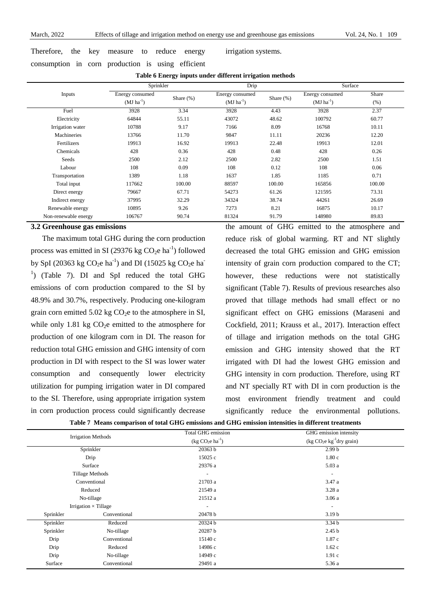Therefore, the key measure to reduce energy

consumption in corn production is using efficient

irrigation systems.

|  |  |  | Table 6 Energy inputs under different irrigation methods |  |
|--|--|--|----------------------------------------------------------|--|
|  |  |  |                                                          |  |

|                      | Sprinkler       |              | Drip            |              | Surface         |        |  |
|----------------------|-----------------|--------------|-----------------|--------------|-----------------|--------|--|
| Inputs               | Energy consumed | Share $(\%)$ | Energy consumed | Share $(\%)$ | Energy consumed | Share  |  |
|                      | $(MJ ha^{-1})$  |              | $(MJ ha^{-1})$  |              | $(MJ ha^{-1})$  | (% )   |  |
| Fuel                 | 3928            | 3.34         | 3928            | 4.43         | 3928            | 2.37   |  |
| Electricity          | 64844           | 55.11        | 43072           | 48.62        | 100792          | 60.77  |  |
| Irrigation water     | 10788           | 9.17         | 7166            | 8.09         | 16768           | 10.11  |  |
| Machineries          | 13766           | 11.70        | 9847            | 11.11        | 20236           | 12.20  |  |
| Fertilizers          | 19913           | 16.92        | 19913           | 22.48        | 19913           | 12.01  |  |
| Chemicals            | 428             | 0.36         | 428             | 0.48         | 428             | 0.26   |  |
| Seeds                | 2500            | 2.12         | 2500            | 2.82         | 2500            | 1.51   |  |
| Labour               | 108             | 0.09         | 108             | 0.12         | 108             | 0.06   |  |
| Transportation       | 1389            | 1.18         | 1637            | 1.85         | 1185            | 0.71   |  |
| Total input          | 117662          | 100.00       | 88597           | 100.00       | 165856          | 100.00 |  |
| Direct energy        | 79667           | 67.71        | 54273           | 61.26        | 121595          | 73.31  |  |
| Indirect energy      | 37995           | 32.29        | 34324           | 38.74        | 44261           | 26.69  |  |
| Renewable energy     | 10895           | 9.26         | 7273            | 8.21         | 16875           | 10.17  |  |
| Non-renewable energy | 106767          | 90.74        | 81324           | 91.79        | 148980          | 89.83  |  |

## **3.2 Greenhouse gas emissions**

The maximum total GHG during the corn production process was emitted in SI (29376 kg  $CO<sub>2</sub>e$  ha<sup>-1</sup>) followed by SpI (20363 kg CO<sub>2</sub>e ha<sup>-1</sup>) and DI (15025 kg CO<sub>2</sub>e ha<sup>-</sup> <sup>1</sup>) (Table 7). DI and SpI reduced the total GHG emissions of corn production compared to the SI by 48.9% and 30.7%, respectively. Producing one-kilogram grain corn emitted  $5.02 \text{ kg CO}_2$ e to the atmosphere in SI, while only 1.81 kg  $CO<sub>2</sub>e$  emitted to the atmosphere for production of one kilogram corn in DI. The reason for reduction total GHG emission and GHG intensity of corn production in DI with respect to the SI was lower water consumption and consequently lower electricity utilization for pumping irrigation water in DI compared to the SI. Therefore, using appropriate irrigation system in corn production process could significantly decrease

the amount of GHG emitted to the atmosphere and reduce risk of global warming. RT and NT slightly decreased the total GHG emission and GHG emission intensity of grain corn production compared to the CT; however, these reductions were not statistically significant (Table 7). Results of previous researches also proved that tillage methods had small effect or no significant effect on GHG emissions (Maraseni and Cockfield, 2011; Krauss et al., 2017). Interaction effect of tillage and irrigation methods on the total GHG emission and GHG intensity showed that the RT irrigated with DI had the lowest GHG emission and GHG intensity in corn production. Therefore, using RT and NT specially RT with DI in corn production is the most environment friendly treatment and could significantly reduce the environmental pollutions.

|  |  | Table 7 Means comparison of total GHG emissions and GHG emission intensities in different treatments |  |  |  |  |  |  |  |  |  |  |  |
|--|--|------------------------------------------------------------------------------------------------------|--|--|--|--|--|--|--|--|--|--|--|
|--|--|------------------------------------------------------------------------------------------------------|--|--|--|--|--|--|--|--|--|--|--|

| <b>Irrigation Methods</b> |                             | Total GHG emission       | GHG emission intensity<br>$(kg CO2e kg-1 dry grain)$ |  |
|---------------------------|-----------------------------|--------------------------|------------------------------------------------------|--|
|                           |                             | $(kg CO2e ha-1)$         |                                                      |  |
| Sprinkler                 |                             | 20363 b                  | 2.99 <sub>b</sub>                                    |  |
|                           | Drip                        | 15025 c                  | 1.80c                                                |  |
|                           | Surface                     | 29376 a                  | 5.03a                                                |  |
| Tillage Methods           |                             | $\sim$                   | $\overline{\phantom{a}}$                             |  |
| Conventional              |                             | 21703 a                  | 3.47 a                                               |  |
|                           | Reduced                     | 3.28 a<br>21549 a        |                                                      |  |
| No-tillage                |                             | 21512 a                  | 3.06a                                                |  |
|                           | Irrigation $\times$ Tillage | $\overline{\phantom{a}}$ |                                                      |  |
| Sprinkler                 | Conventional                | 20478 b                  | 3.19 <sub>b</sub>                                    |  |
| Sprinkler                 | Reduced                     | 20324 b                  | 3.34 <sub>b</sub>                                    |  |
| Sprinkler                 | No-tillage                  | 20287 b                  | 2.45 <sub>b</sub>                                    |  |
| Drip                      | Conventional                | 15140c                   | 1.87 c                                               |  |
| Drip                      | Reduced                     | 14986 с                  | 1.62c                                                |  |
| Drip                      | No-tillage                  | 14949 с                  | 1.91c                                                |  |
| Surface                   | Conventional                | 29491 a                  | 5.36 a                                               |  |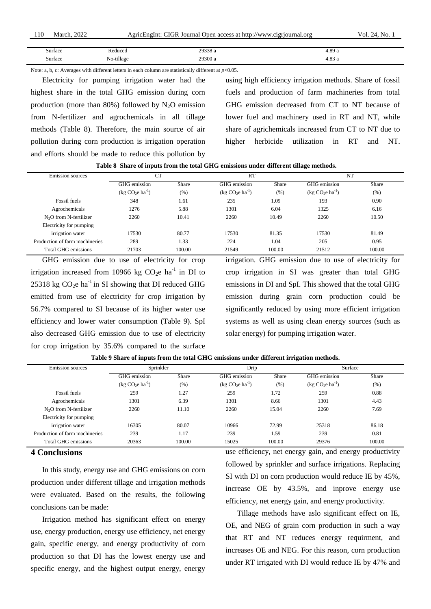| 110 | 2022<br>March. | AgricEngInt: ' | at: CIGR Journal Open access at http://www.cigriournal.org. | No.<br>VOI. |
|-----|----------------|----------------|-------------------------------------------------------------|-------------|
|     |                |                |                                                             |             |
|     |                |                |                                                             |             |

| Surface<br>. | Reduced<br>.           | 29338 a<br>. | 4.89 a                     |
|--------------|------------------------|--------------|----------------------------|
| Surface<br>. | $\cdots$<br>No-tillage | 29300 a      | $\Omega$<br>4.0 <i>3</i> a |

Note: a, b, c: Averages with different letters in each column are statistically different at  $p<0.05$ .

Electricity for pumping irrigation water had the highest share in the total GHG emission during corn production (more than 80%) followed by  $N_2O$  emission from N-fertilizer and agrochemicals in all tillage methods (Table 8). Therefore, the main source of air pollution during corn production is irrigation operation and efforts should be made to reduce this pollution by

using high efficiency irrigation methods. Share of fossil fuels and production of farm machineries from total GHG emission decreased from CT to NT because of lower fuel and machinery used in RT and NT, while share of agrichemicals increased from CT to NT due to higher herbicide utilization in RT and NT.

| <b>Emission</b> sources        | <b>CT</b>        |        | <b>RT</b>        |        | NT               |        |
|--------------------------------|------------------|--------|------------------|--------|------------------|--------|
|                                | GHG emission     | Share  | GHG emission     | Share  | GHG emission     | Share  |
|                                | $(kg CO2e ha-1)$ | (%)    | $(kg CO2e ha-1)$ | (%)    | $(kg CO2e ha-1)$ | (%)    |
| Fossil fuels                   | 348              | 1.61   | 235              | 1.09   | 193              | 0.90   |
| Agrochemicals                  | 1276             | 5.88   | 1301             | 6.04   | 1325             | 6.16   |
| $N2O$ from N-fertilizer        | 2260             | 10.41  | 2260             | 10.49  | 2260             | 10.50  |
| Electricity for pumping        |                  |        |                  |        |                  |        |
| irrigation water               | 17530            | 80.77  | 17530            | 81.35  | 17530            | 81.49  |
| Production of farm machineries | 289              | 1.33   | 224              | 1.04   | 205              | 0.95   |
| <b>Total GHG emissions</b>     | 21703            | 100.00 | 21549            | 100.00 | 21512            | 100.00 |

**Table 8 Share of inputs from the total GHG emissions under different tillage methods.**

GHG emission due to use of electricity for crop irrigation increased from 10966 kg  $CO<sub>2</sub>e$  ha<sup>-1</sup> in DI to 25318 kg  $CO<sub>2</sub>e$  ha<sup>-1</sup> in SI showing that DI reduced GHG emitted from use of electricity for crop irrigation by 56.7% compared to SI because of its higher water use efficiency and lower water consumption (Table 9). SpI also decreased GHG emission due to use of electricity for crop irrigation by 35.6% compared to the surface

irrigation. GHG emission due to use of electricity for crop irrigation in SI was greater than total GHG emissions in DI and SpI. This showed that the total GHG emission during grain corn production could be significantly reduced by using more efficient irrigation systems as well as using clean energy sources (such as solar energy) for pumping irrigation water.

**Table 9 Share of inputs from the total GHG emissions under different irrigation methods.**

| <b>Emission</b> sources        | Sprinkler        |        | Drip             |        | Surface          |        |
|--------------------------------|------------------|--------|------------------|--------|------------------|--------|
|                                | GHG emission     | Share  | GHG emission     | Share  | GHG emission     | Share  |
|                                | $(kg CO2e ha-1)$ | (% )   | $(kg CO2e ha-1)$ | $(\%)$ | $(kg CO2e ha-1)$ | (% )   |
| Fossil fuels                   | 259              | 1.27   | 259              | 1.72   | 259              | 0.88   |
| Agrochemicals                  | 1301             | 6.39   | 1301             | 8.66   | 1301             | 4.43   |
| $N2O$ from N-fertilizer        | 2260             | 11.10  | 2260             | 15.04  | 2260             | 7.69   |
| Electricity for pumping        |                  |        |                  |        |                  |        |
| irrigation water               | 16305            | 80.07  | 10966            | 72.99  | 25318            | 86.18  |
| Production of farm machineries | 239              | 1.17   | 239              | 1.59   | 239              | 0.81   |
| <b>Total GHG emissions</b>     | 20363            | 100.00 | 15025            | 100.00 | 29376            | 100.00 |

#### **4 Conclusions**

In this study, energy use and GHG emissions on corn production under different tillage and irrigation methods were evaluated. Based on the results, the following conclusions can be made:

Irrigation method has significant effect on energy use, energy production, energy use efficiency, net energy gain, specific energy, and energy productivity of corn production so that DI has the lowest energy use and specific energy, and the highest output energy, energy

use efficiency, net energy gain, and energy productivity followed by sprinkler and surface irrigations. Replacing SI with DI on corn production would reduce IE by 45%, increase OE by 43.5%, and inprove energy use efficiency, net energy gain, and energy productivity.

Tillage methods have aslo significant effect on IE, OE, and NEG of grain corn production in such a way that RT and NT reduces energy requirment, and increases OE and NEG. For this reason, corn production under RT irrigated with DI would reduce IE by 47% and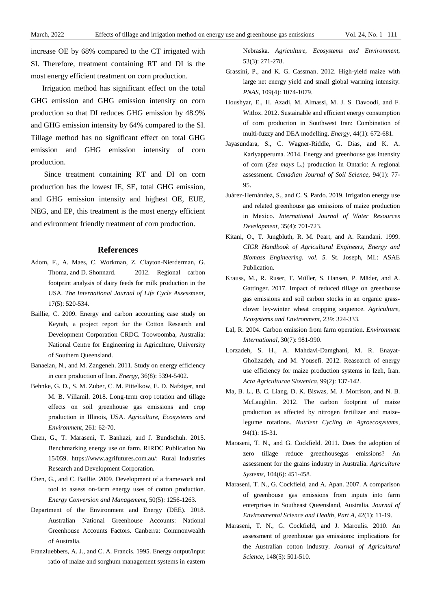increase OE by 68% compared to the CT irrigated with SI. Therefore, treatment containing RT and DI is the most energy efficient treatment on corn production.

Irrigation method has significant effect on the total GHG emission and GHG emission intensity on corn production so that DI reduces GHG emission by 48.9% and GHG emission intensity by 64% compared to the SI. Tillage method has no significant effect on total GHG emission and GHG emission intensity of corn production.

Since treatment containing RT and DI on corn production has the lowest IE, SE, total GHG emission, and GHG emission intensity and highest OE, EUE, NEG, and EP, this treatment is the most energy efficient and evironment friendly treatment of corn production.

#### **References**

- Adom, F., A. Maes, C. Workman, Z. Clayton-Nierderman, G. Thoma, and D. Shonnard. 2012. Regional carbon footprint analysis of dairy feeds for milk production in the USA. *The International Journal of Life Cycle Assessment*, 17(5): 520-534.
- Baillie, C. 2009. Energy and carbon accounting case study on Keytah, a project report for the Cotton Research and Development Corporation CRDC. Toowoomba, Australia: National Centre for Engineering in Agriculture, University of Southern Queensland.
- Banaeian, N., and M. Zangeneh. 2011. Study on energy efficiency in corn production of Iran. *Energy*, 36(8): 5394-5402.
- Behnke, G. D., S. M. Zuber, C. M. Pittelkow, E. D. Nafziger, and M. B. Villamil. 2018. Long-term crop rotation and tillage effects on soil greenhouse gas emissions and crop production in Illinois, USA. *Agriculture, Ecosystems and Environment*, 261: 62-70.
- Chen, G., T. Maraseni, T. Banhazi, and J. Bundschuh. 2015. Benchmarking energy use on farm. RIRDC Publication No 15/059. https://www.agrifutures.com.au/: Rural Industries Research and Development Corporation.
- Chen, G., and C. Baillie. 2009. Development of a framework and tool to assess on-farm energy uses of cotton production. *Energy Conversion and Management*, 50(5): 1256-1263.
- Department of the Environment and Energy (DEE). 2018. Australian National Greenhouse Accounts: National Greenhouse Accounts Factors. Canberra: Commonwealth of Australia.
- Franzluebbers, A. J., and C. A. Francis. 1995. Energy output/input ratio of maize and sorghum management systems in eastern

Nebraska. *Agriculture, Ecosystems and Environment*, 53(3): 271-278.

- Grassini, P., and K. G. Cassman. 2012. High-yield maize with large net energy yield and small global warming intensity. *PNAS*, 109(4): 1074-1079.
- Houshyar, E., H. Azadi, M. Almassi, M. J. S. Davoodi, and F. Witlox. 2012. Sustainable and efficient energy consumption of corn production in Southwest Iran: Combination of multi-fuzzy and DEA modelling. *Energy*, 44(1): 672-681.
- Jayasundara, S., C. Wagner-Riddle, G. Dias, and K. A. Kariyapperuma. 2014. Energy and greenhouse gas intensity of corn (*Zea mays* L.) production in Ontario: A regional assessment. *Canadian Journal of Soil Science*, 94(1): 77- 95.
- Juárez-Hernández, S., and C. S. Pardo. 2019. Irrigation energy use and related greenhouse gas emissions of maize production in Mexico. *International Journal of Water Resources Development*, 35(4): 701-723.
- Kitani, O., T. Jungbluth, R. M. Peart, and A. Ramdani. 1999. *CIGR Handbook of Agricultural Engineers, Energy and Biomass Engineering. vol. 5.* St. Joseph, MI.: ASAE Publication.
- Krauss, M., R. Ruser, T. Müller, S. Hansen, P. Mäder, and A. Gattinger. 2017. Impact of reduced tillage on greenhouse gas emissions and soil carbon stocks in an organic grassclover ley-winter wheat cropping sequence. *Agriculture, Ecosystems and Environment*, 239: 324-333.
- Lal, R. 2004. Carbon emission from farm operation. *Environment International*, 30(7): 981-990.
- Lorzadeh, S. H., A. Mahdavi-Damghani, M. R. Enayat-Gholizadeh, and M. Yousefi. 2012. Reasearch of energy use efficiency for maize production systems in Izeh, Iran. *Acta Agriculturae Slovenica*, 99(2): 137-142.
- Ma, B. L., B. C. Liang, D. K. Biswas, M. J. Morrison, and N. B. McLaughlin. 2012. The carbon footprint of maize production as affected by nitrogen fertilizer and maizelegume rotations. *[Nutrient Cycling in Agroecosystems](https://www.researchgate.net/journal/1385-1314_Nutrient_Cycling_in_Agroecosystems)*, [94\(1\): 15-31.](https://www.researchgate.net/journal/1385-1314_Nutrient_Cycling_in_Agroecosystems)
- Maraseni, T. N., and G. Cockfield. 2011. Does the adoption of zero tillage reduce greenhousegas emissions? An assessment for the grains industry in Australia. *Agriculture Systems*, 104(6): 451-458.
- Maraseni, T. N., G. Cockfield, and A. Apan. 2007. A comparison of greenhouse gas emissions from inputs into farm enterprises in Southeast Queensland, Australia. *Journal of Environmental Science and Health, Part A*, 42(1): 11-19.
- Maraseni, T. N., G. Cockfield, and J. Maroulis. 2010. An assessment of greenhouse gas emissions: implications for the Australian cotton industry. *Journal of Agricultural Science*, 148(5): 501-510.